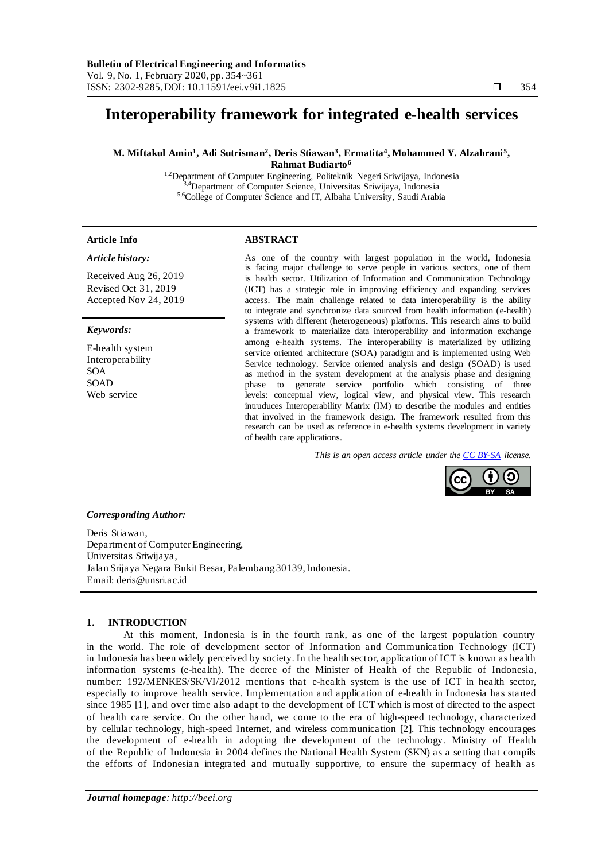# **Interoperability framework for integrated e-health services**

### **M. Miftakul Amin<sup>1</sup> , Adi Sutrisman<sup>2</sup> , Deris Stiawan<sup>3</sup> , Ermatita<sup>4</sup> , Mohammed Y. Alzahrani<sup>5</sup> , Rahmat Budiarto<sup>6</sup>**

<sup>1,2</sup>Department of Computer Engineering, Politeknik Negeri Sriwijaya, Indonesia <sup>4</sup>Department of Computer Science, Universitas Sriwijaya, Indonesia 5,6College of Computer Science and IT, Albaha University, Saudi Arabia

# **Article Info ABSTRACT** *Article history:*

Received Aug 26, 2019 Revised Oct 31, 2019 Accepted Nov 24, 2019

#### *Keywords:*

E-health system Interoperability SOA SOAD Web service

As one of the country with largest population in the world, Indonesia is facing major challenge to serve people in various sectors, one of them is health sector. Utilization of Information and Communication Technology (ICT) has a strategic role in improving efficiency and expanding services access. The main challenge related to data interoperability is the ability to integrate and synchronize data sourced from health information (e-health) systems with different (heterogeneous) platforms. This research aims to build a framework to materialize data interoperability and information exchange among e-health systems. The interoperability is materialized by utilizing service oriented architecture (SOA) paradigm and is implemented using Web Service technology. Service oriented analysis and design (SOAD) is used as method in the system development at the analysis phase and designing phase to generate service portfolio which consisting of three levels: conceptual view, logical view, and physical view. This research intruduces Interoperability Matrix (IM) to describe the modules and entities that involved in the framework design. The framework resulted from this research can be used as reference in e-health systems development in variety of health care applications.

*This is an open access article under th[e CC BY-SA](https://creativecommons.org/licenses/by-sa/4.0/) license.*



#### *Corresponding Author:*

Deris Stiawan, Department of Computer Engineering, Universitas Sriwijaya, Jalan Srijaya Negara Bukit Besar, Palembang 30139, Indonesia. Email: deris@unsri.ac.id

#### **1. INTRODUCTION**

At this moment, Indonesia is in the fourth rank, as one of the largest population country in the world. The role of development sector of Information and Communication Technology (ICT) in Indonesia has been widely perceived by society. In the health sector, application of ICT is known as health information systems (e-health). The decree of the Minister of Health of the Republic of Indonesia, number: 192/MENKES/SK/VI/2012 mentions that e-health system is the use of ICT in health sector, especially to improve health service. Implementation and application of e-health in Indonesia has started since 1985 [1], and over time also adapt to the development of ICT which is most of directed to the aspect of health care service. On the other hand, we come to the era of high-speed technology, characterized by cellular technology, high-speed Internet, and wireless communication [2]. This technology encourages the development of e-health in adopting the development of the technology. Ministry of Health of the Republic of Indonesia in 2004 defines the National Health System (SKN) as a setting that compils the efforts of Indonesian integrated and mutually supportive, to ensure the supermacy of health as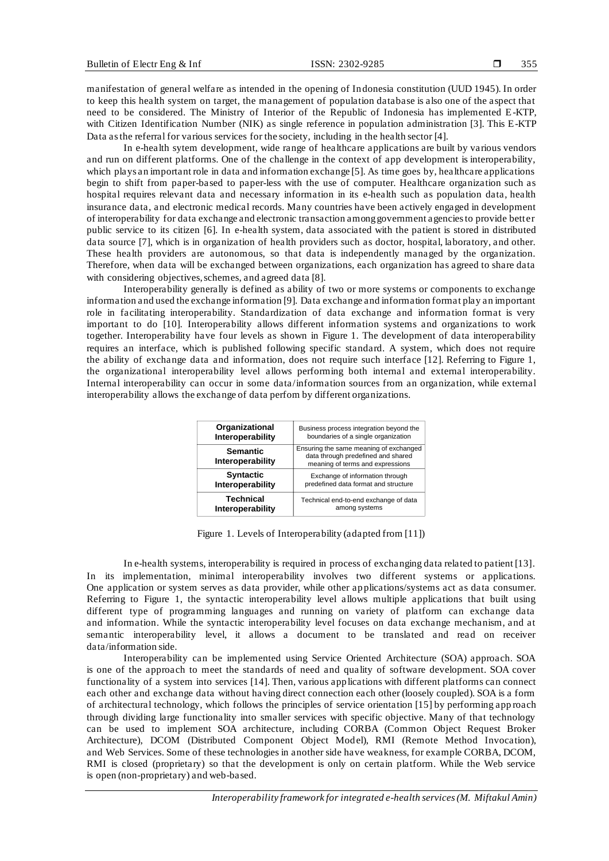manifestation of general welfare as intended in the opening of Indonesia constitution (UUD 1945). In order to keep this health system on target, the management of population database is also one of the aspect that need to be considered. The Ministry of Interior of the Republic of Indonesia has implemented E-KTP, with Citizen Identification Number (NIK) as single reference in population administration [3]. This E-KTP Data as the referral for various services for the society, including in the health sector [4].

In e-health sytem development, wide range of healthcare applications are built by various vendors and run on different platforms. One of the challenge in the context of app development is interoperability, which plays an important role in data and information exchange [5]. As time goes by, healthcare applications begin to shift from paper-based to paper-less with the use of computer. Healthcare organization such as hospital requires relevant data and necessary information in its e-health such as population data, health insurance data, and electronic medical records. Many countries have been actively engaged in development of interoperability for data exchange and electronic transaction among government agencies to provide better public service to its citizen [6]. In e-health system, data associated with the patient is stored in distributed data source [7], which is in organization of health providers such as doctor, hospital, laboratory, and other. These health providers are autonomous, so that data is independently managed by the organization. Therefore, when data will be exchanged between organizations, each organization has agreed to share data with considering objectives, schemes, and agreed data [8].

Interoperability generally is defined as ability of two or more systems or components to exchange information and used the exchange information [9]. Data exchange and information format play an important role in facilitating interoperability. Standardization of data exchange and information format is very important to do [10]. Interoperability allows different information systems and organizations to work together. Interoperability have four levels as shown in Figure 1. The development of data interoperability requires an interface, which is published following specific standard. A system, which does not require the ability of exchange data and information, does not require such interface [12]. Referring to Figure 1, the organizational interoperability level allows performing both internal and external interoperability. Internal interoperability can occur in some data/information sources from an organization, while external interoperability allows the exchange of data perfom by different organizations.

| Organizational                      | Business process integration beyond the                                                                          |
|-------------------------------------|------------------------------------------------------------------------------------------------------------------|
| Interoperability                    | boundaries of a single organization                                                                              |
| <b>Semantic</b><br>Interoperability | Ensuring the same meaning of exchanged<br>data through predefined and shared<br>meaning of terms and expressions |
| <b>Syntactic</b>                    | Exchange of information through                                                                                  |
| Interoperability                    | predefined data format and structure                                                                             |
| <b>Technical</b>                    | Technical end-to-end exchange of data                                                                            |
| Interoperability                    | among systems                                                                                                    |

Figure 1. Levels of Interoperability (adapted from [11])

In e-health systems, interoperability is required in process of exchanging data related to patient [13]. In its implementation, minimal interoperability involves two different systems or applications. One application or system serves as data provider, while other applications/systems act as data consumer. Referring to Figure 1, the syntactic interoperability level allows multiple applications that built using different type of programming languages and running on variety of platform can exchange data and information. While the syntactic interoperability level focuses on data exchange mechanism, and at semantic interoperability level, it allows a document to be translated and read on receiver data/information side.

Interoperability can be implemented using Service Oriented Architecture (SOA) approach. SOA is one of the approach to meet the standards of need and quality of software development. SOA cover functionality of a system into services [14]. Then, various applications with different platforms can connect each other and exchange data without having direct connection each other (loosely coupled). SOA is a form of architectural technology, which follows the principles of service orientation [15] by performing app roach through dividing large functionality into smaller services with specific objective. Many of that technology can be used to implement SOA architecture, including CORBA (Common Object Request Broker Architecture), DCOM (Distributed Component Object Model), RMI (Remote Method Invocation), and Web Services. Some of these technologies in another side have weakness, for example CORBA, DCOM, RMI is closed (proprietary) so that the development is only on certain platform. While the Web service is open (non-proprietary) and web-based.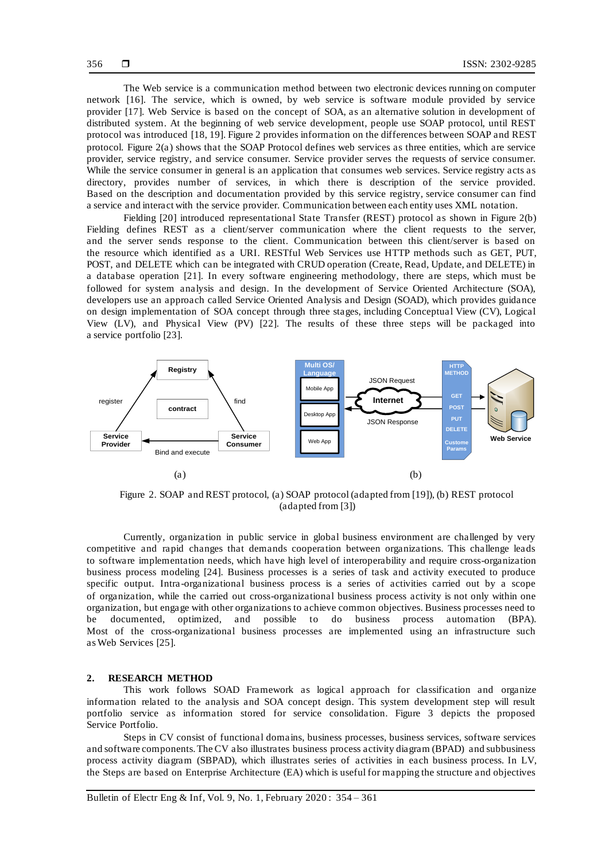The Web service is a communication method between two electronic devices running on computer network [16]. The service, which is owned, by web service is software module provided by service provider [17]. Web Service is based on the concept of SOA, as an alternative solution in development of distributed system. At the beginning of web service development, people use SOAP protocol, until REST protocol was introduced [18, 19]. Figure 2 provides information on the differences between SOAP and REST protocol. Figure 2(a) shows that the SOAP Protocol defines web services as three entities, which are service provider, service registry, and service consumer. Service provider serves the requests of service consumer. While the service consumer in general is an application that consumes web services. Service registry acts as directory, provides number of services, in which there is description of the service provided. Based on the description and documentation provided by this service registry, service consumer can find a service and interact with the service provider. Communication between each entity uses XML notation.

Fielding [20] introduced representational State Transfer (REST) protocol as shown in Figure 2(b) Fielding defines REST as a client/server communication where the client requests to the server, and the server sends response to the client. Communication between this client/server is based on the resource which identified as a URI. RESTful Web Services use HTTP methods such as GET, PUT, POST, and DELETE which can be integrated with CRUD operation (Create, Read, Update, and DELETE) in a database operation [21]. In every software engineering methodology, there are steps, which must be followed for system analysis and design. In the development of Service Oriented Architecture (SOA), developers use an approach called Service Oriented Analysis and Design (SOAD), which provides guidance on design implementation of SOA concept through three stages, including Conceptual View (CV), Logical View (LV), and Physical View (PV) [22]. The results of these three steps will be packaged into a service portfolio [23].



Figure 2. SOAP and REST protocol, (a) SOAP protocol (adapted from [19]), (b) REST protocol (adapted from [3])

Currently, organization in public service in global business environment are challenged by very competitive and rapid changes that demands cooperation between organizations. This challenge leads to software implementation needs, which have high level of interoperability and require cross-organization business process modeling [24]. Business processes is a series of task and activity executed to produce specific output. Intra -organizational business process is a series of activities carried out by a scope of organization, while the carried out cross-organizational business process activity is not only within one organization, but engage with other organizations to achieve common objectives. Business processes need to be documented, optimized, and possible to do business process automation (BPA). Most of the cross-organizational business processes are implemented using an infrastructure such as Web Services [25].

#### **2. RESEARCH METHOD**

This work follows SOAD Framework as logical approach for classification and organize information related to the analysis and SOA concept design. This system development step will result portfolio service as information stored for service consolidation. Figure 3 depicts the proposed Service Portfolio.

Steps in CV consist of functional domains, business processes, business services, software services and software components. The CV also illustrates business process activity diagram (BPAD) and subbusiness process activity diagram (SBPAD), which illustrates series of activities in each business process. In LV, the Steps are based on Enterprise Architecture (EA) which is useful for mapping the structure and objectives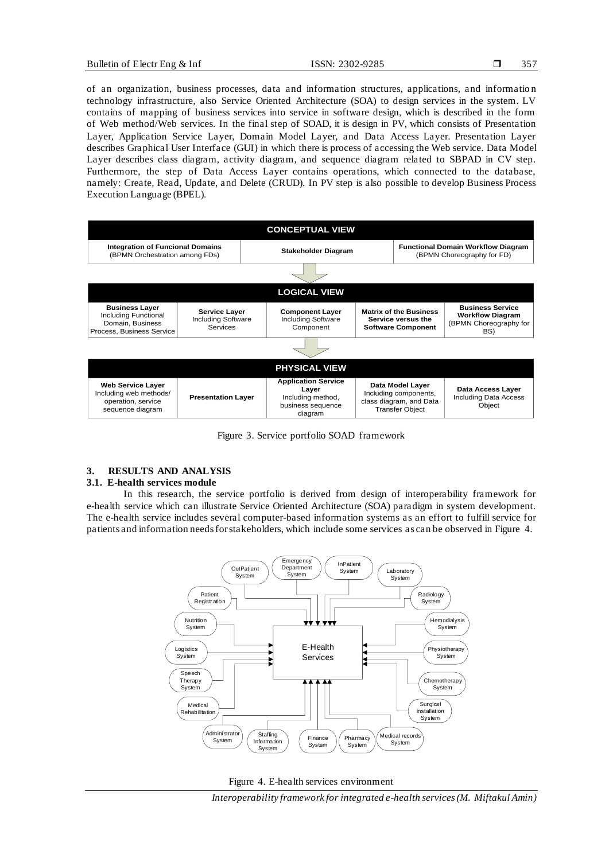of an organization, business processes, data and information structures, applications, and informatio n technology infrastructure, also Service Oriented Architecture (SOA) to design services in the system. LV contains of mapping of business services into service in software design, which is described in the form of Web method/Web services. In the final step of SOAD, it is design in PV, which consists of Presentation Layer, Application Service Layer, Domain Model Layer, and Data Access Layer. Presentation Layer describes Graphical User Interface (GUI) in which there is process of accessing the Web service. Data Model Layer describes class diagram, activity diagram, and sequence diagram related to SBPAD in CV step. Furthermore, the step of Data Access Layer contains operations, which connected to the database, namely: Create, Read, Update, and Delete (CRUD). In PV step is also possible to develop Business Process Execution Language (BPEL).



Figure 3. Service portfolio SOAD framework

### **3. RESULTS AND ANALYSIS**

#### **3.1. E-health services module**

In this research, the service portfolio is derived from design of interoperability framework for e-health service which can illustrate Service Oriented Architecture (SOA) paradigm in system development. The e-health service includes several computer-based information systems as an effort to fulfill service for patients and information needs for stakeholders, which include some services as can be observed in Figure 4.



Figure 4. E-health services environment

*Interoperability framework for integrated e-health services (M. Miftakul Amin)*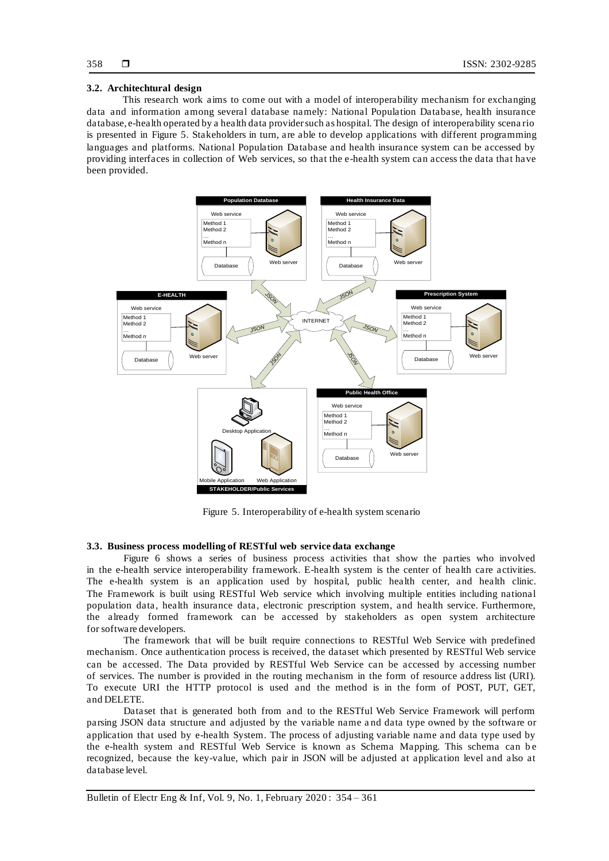#### 358

#### **3.2. Architechtural design**

This research work aims to come out with a model of interoperability mechanism for exchanging data and information among several database namely: National Population Database, health insurance database, e-health operated by a health data provider such as hospital. The design of interoperability scena rio is presented in Figure 5. Stakeholders in turn, are able to develop applications with different programming languages and platforms. National Population Database and health insurance system can be accessed by providing interfaces in collection of Web services, so that the e-health system can access the data that have been provided.



Figure 5. Interoperability of e-health system scenario

## **3.3. Business process modelling of RESTful web service data exchange**

Figure 6 shows a series of business process activities that show the parties who involved in the e-health service interoperability framework. E-health system is the center of health care activities. The e-health system is an application used by hospital, public health center, and health clinic. The Framework is built using RESTful Web service which involving multiple entities including national population data, health insurance data, electronic prescription system, and health service. Furthermore, the already formed framework can be accessed by stakeholders as open system architecture for software developers.

The framework that will be built require connections to RESTful Web Service with predefined mechanism. Once authentication process is received, the dataset which presented by RESTful Web service can be accessed. The Data provided by RESTful Web Service can be accessed by accessing number of services. The number is provided in the routing mechanism in the form of resource address list (URI). To execute URI the HTTP protocol is used and the method is in the form of POST, PUT, GET, and DELETE.

Dataset that is generated both from and to the RESTful Web Service Framework will perform parsing JSON data structure and adjusted by the variable name a nd data type owned by the software or application that used by e-health System. The process of adjusting variable name and data type used by the e-health system and RESTful Web Service is known as Schema Mapping. This schema can b e recognized, because the key-value, which pair in JSON will be adjusted at application level and also at database level.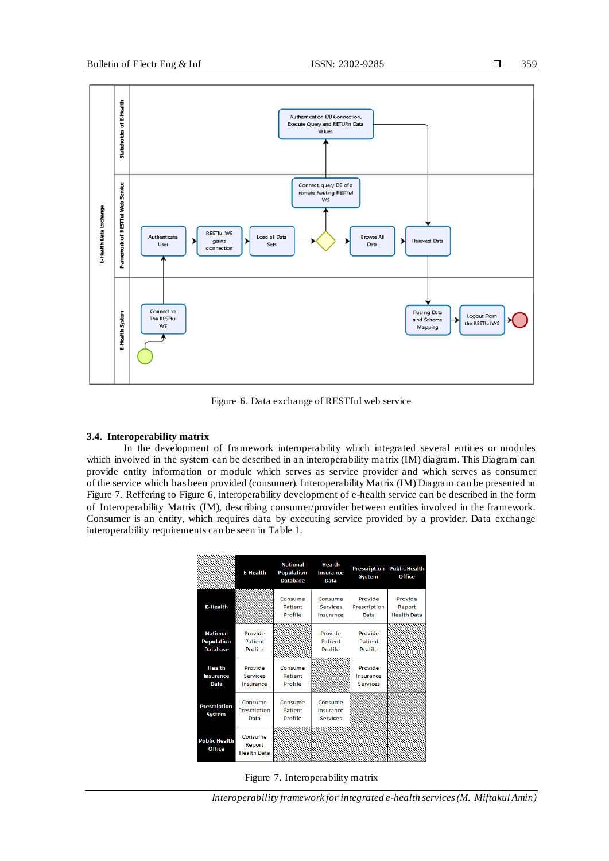

Figure 6. Data exchange of RESTful web service

#### **3.4. Interoperability matrix**

In the development of framework interoperability which integrated several entities or modules which involved in the system can be described in an interoperability matrix (IM) diagram. This Diagram can provide entity information or module which serves as service provider and which serves as consumer of the service which has been provided (consumer). Interoperability Matrix (IM) Diagram can be presented in Figure 7. Reffering to Figure 6, interoperability development of e-health service can be described in the form of Interoperability Matrix (IM), describing consumer/provider between entities involved in the framework. Consumer is an entity, which requires data by executing service provided by a provider. Data exchange interoperability requirements can be seen in Table 1.

|                                                         | <b>E-Health</b>                         | <b>National</b><br><b>Population</b><br><b>Database</b> | <b>Health</b><br><b>Insurance</b><br><b>Data</b> | <b>Prescription</b><br><b>System</b>    | <b>Public Health</b><br><b>Office</b>   |
|---------------------------------------------------------|-----------------------------------------|---------------------------------------------------------|--------------------------------------------------|-----------------------------------------|-----------------------------------------|
| <b>E-Health</b>                                         |                                         | Consume<br>Patient<br>Profile                           | Consume<br><b>Services</b><br>Insurance          | Provide<br>Prescription<br>Data         | Provide<br>Report<br><b>Health Data</b> |
| <b>National</b><br><b>Population</b><br><b>Database</b> | Provide<br>Patient<br>Profile           |                                                         | Provide<br>Patient<br>Profile                    | Provide<br>Patient<br>Profile           |                                         |
| <b>Health</b><br><b>Insurance</b><br><b>Data</b>        | Provide<br><b>Services</b><br>Insurance | Consume<br>Patient<br>Profile                           |                                                  | Provide<br>Insurance<br><b>Services</b> |                                         |
| <b>Prescription</b><br><b>System</b>                    | Consume<br>Prescription<br>Data         | Consume<br>Patient<br>Profile                           | Consume<br>Insurance<br><b>Services</b>          |                                         |                                         |
| <b>Public Health</b><br><b>Office</b>                   | Consume<br>Report<br><b>Health Data</b> |                                                         |                                                  |                                         |                                         |

Figure 7. Interoperability matrix

*Interoperability framework for integrated e-health services (M. Miftakul Amin)*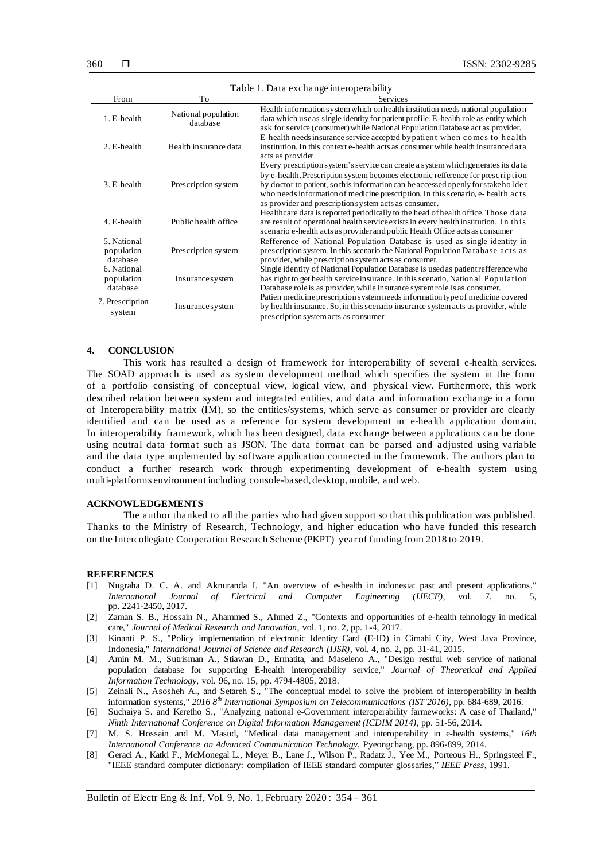| Table 1. Data exchange interoperability              |                                 |                                                                                                                                                                                                                                                                                                                                                                                                      |  |  |  |
|------------------------------------------------------|---------------------------------|------------------------------------------------------------------------------------------------------------------------------------------------------------------------------------------------------------------------------------------------------------------------------------------------------------------------------------------------------------------------------------------------------|--|--|--|
| From                                                 | To                              | Services                                                                                                                                                                                                                                                                                                                                                                                             |  |  |  |
| 1. E-health                                          | National population<br>database | Health information system which on health institution needs national population<br>data which use as single identity for patient profile. E-health role as entity which<br>ask for service (consumer) while National Population Database act as provider.                                                                                                                                            |  |  |  |
| 2. E-health                                          | Health insurance data           | E-health needs insurance service accepted by patient when comes to health<br>institution. In this context e-health acts as consumer while health insuranced at a<br>acts as provider                                                                                                                                                                                                                 |  |  |  |
| 3. E-health                                          | Prescription system             | Every prescription system's service can create a system which generates its data<br>by e-health. Prescription system becomes electronic refference for prescription<br>by doctor to patient, so this information can be accessed openly for stake holder<br>who needs information of medicine prescription. In this scenario, e-health acts<br>as provider and prescription system acts as consumer. |  |  |  |
| 4. E-health                                          | Public health office            | Healthcare data is reported periodically to the head of health office. Those data<br>are result of operational health service exists in every health institution. In this<br>scenario e-health acts as provider and public Health Office acts as consumer                                                                                                                                            |  |  |  |
| 5. National<br>population<br>database<br>6. National | Prescription system             | Refference of National Population Database is used as single identity in<br>prescription system. In this scenario the National Population Database acts as<br>provider, while prescription system acts as consumer.<br>Single identity of National Population Database is used as patient refference who                                                                                             |  |  |  |
| population<br>database                               | Insurance system                | has right to get health service insurance. In this scenario, National Population<br>Database role is as provider, while insurance system role is as consumer.                                                                                                                                                                                                                                        |  |  |  |
| 7. Prescription<br>system                            | Insurance system                | Patien medicine prescription system needs information type of medicine covered<br>by health insurance. So, in this scenario insurance system acts as provider, while<br>prescription system acts as consumer                                                                                                                                                                                         |  |  |  |

#### **4. CONCLUSION**

This work has resulted a design of framework for interoperability of several e-health services. The SOAD approach is used as system development method which specifies the system in the form of a portfolio consisting of conceptual view, logical view, and physical view. Furthermore, this work described relation between system and integrated entities, and data and information exchange in a form of Interoperability matrix (IM), so the entities/systems, which serve as consumer or provider are clearly identified and can be used as a reference for system development in e-health application domain. In interoperability framework, which has been designed, data exchange between applications can be done using neutral data format such as JSON. The data format can be parsed and adjusted using variable and the data type implemented by software application connected in the framework. The authors plan to conduct a further research work through experimenting development of e-health system using multi-platforms environment including console-based, desktop, mobile, and web.

#### **ACKNOWLEDGEMENTS**

The author thanked to all the parties who had given support so that this publication was published. Thanks to the Ministry of Research, Technology, and higher education who have funded this research on the Intercollegiate Cooperation Research Scheme (PKPT) year of funding from 2018 to 2019.

#### **REFERENCES**

- [1] Nugraha D. C. A. and Aknuranda I, "An overview of e-health in indonesia: past and present applications," *International Journal of Electrical and Computer Engineering (IJECE)*, vol. 7, no. pp. 2241-2450, 2017.
- [2] Zaman S. B., Hossain N., Ahammed S., Ahmed Z., "Contexts and opportunities of e-health tehnology in medical care," *Journal of Medical Research and Innovation*, vol. 1, no. 2, pp. 1-4, 2017.
- [3] Kinanti P. S., "Policy implementation of electronic Identity Card (E-ID) in Cimahi City, West Java Province, Indonesia," *International Journal of Science and Research (IJSR)*, vol. 4, no. 2, pp. 31-41, 2015.
- [4] Amin M. M., Sutrisman A., Stiawan D., Ermatita, and Maseleno A., "Design restful web service of national population database for supporting E-health interoperability service," *Journal of Theoretical and Applied Information Technology*, vol. 96, no. 15, pp. 4794-4805, 2018.
- [5] Zeinali N., Asosheh A., and Setareh S., "The conceptual model to solve the problem of interoperability in health information systems," *2016 8th International Symposium on Telecommunications (IST'2016)*, pp. 684-689, 2016.
- [6] Suchaiya S. and Keretho S., "Analyzing national e-Government interoperability farmeworks: A case of Thailand," *Ninth International Conference on Digital Information Management (ICDIM 2014)*, pp. 51-56, 2014.
- [7] M. S. Hossain and M. Masud, "Medical data management and interoperability in e-health systems," *16th International Conference on Advanced Communication Technology*, Pyeongchang, pp. 896-899, 2014.
- [8] Geraci A., Katki F., McMonegal L., Meyer B., Lane J., Wilson P., Radatz J., Yee M., Porteous H., Springsteel F., "IEEE standard computer dictionary: compilation of IEEE standard computer glossaries," *IEEE Press*, 1991.